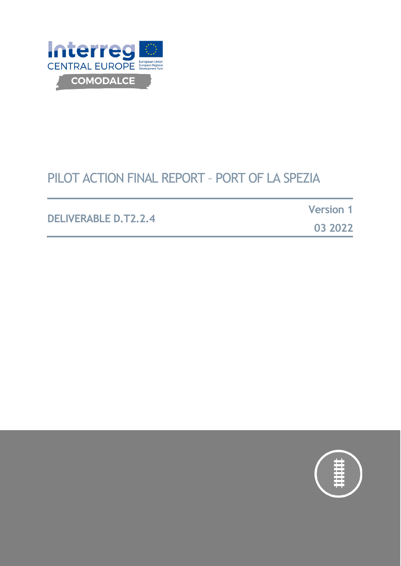

# PILOT ACTION FINAL REPORT – PORT OF LA SPEZIA

**DELIVERABLE D.T2.2.4**

**Version 1**

**03 2022**

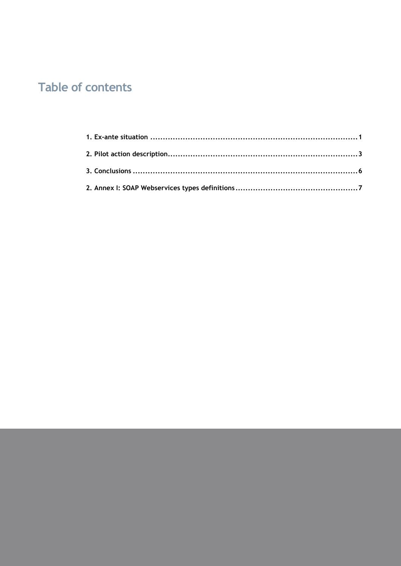# **Table of contents**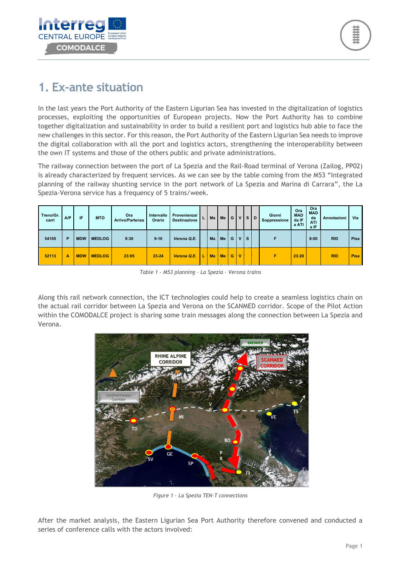

## <span id="page-2-0"></span>**1. Ex-ante situation**

In the last years the Port Authority of the Eastern Ligurian Sea has invested in the digitalization of logistics processes, exploiting the opportunities of European projects. Now the Port Authority has to combine together digitalization and sustainability in order to build a resilient port and logistics hub able to face the new challenges in this sector. For this reason, the Port Authority of the Eastern Ligurian Sea needs to improve the digital collaboration with all the port and logistics actors, strengthening the interoperability between the own IT systems and those of the others public and private administrations.

The railway connection between the port of La Spezia and the Rail-Road terminal of Verona (Zailog, PP02) is already characterized by frequent services. As we can see by the table coming from the M53 "Integrated planning of the railway shunting service in the port network of La Spezia and Marina di Carrara", the La Spezia-Verona service has a frequency of 5 trains/week.

| Treno/Gr.<br>carri | A/P | IF         | <b>MTO</b>    | Ora<br><b>Arrivo/Partenza</b> | Intervallo<br>Orario | Provenienza/<br><b>Destinazione</b> |    | Ma        | Me        | G | $\mathbf v$  | -S I     | D | Giorni<br>Soppressione | Ora<br><b>MAD</b><br>da IF<br>a ATI | Ora<br><b>MAD</b><br>da<br><b>ATI</b><br>a IF | Annotazioni | Via         |
|--------------------|-----|------------|---------------|-------------------------------|----------------------|-------------------------------------|----|-----------|-----------|---|--------------|----------|---|------------------------|-------------------------------------|-----------------------------------------------|-------------|-------------|
| 54105              | P   | <b>MDW</b> | <b>MEDLOG</b> | 9:30                          | $9 - 10$             | Verona Q.E.                         |    | Ma        | Me        |   | GIVI         | <b>S</b> |   |                        |                                     | 8:00                                          | <b>RID</b>  | Pisa        |
| 52113              | А   | <b>MDW</b> | <b>MEDLOG</b> | 23:05                         | $23 - 24$            | Verona Q.E.                         | L. | <b>Ma</b> | <b>Me</b> | G | $\mathbf{v}$ |          |   | Е                      | 23:20                               |                                               | <b>RID</b>  | <b>Pisa</b> |

*Table 1 - M53 planning – La Spezia – Verona trains*

Along this rail network connection, the ICT technologies could help to create a seamless logistics chain on the actual rail corridor between La Spezia and Verona on the SCANMED corridor. Scope of the Pilot Action within the COMODALCE project is sharing some train messages along the connection between La Spezia and Verona.



*Figure 1 – La Spezia TEN-T connections*

After the market analysis, the Eastern Ligurian Sea Port Authority therefore convened and conducted a series of conference calls with the actors involved: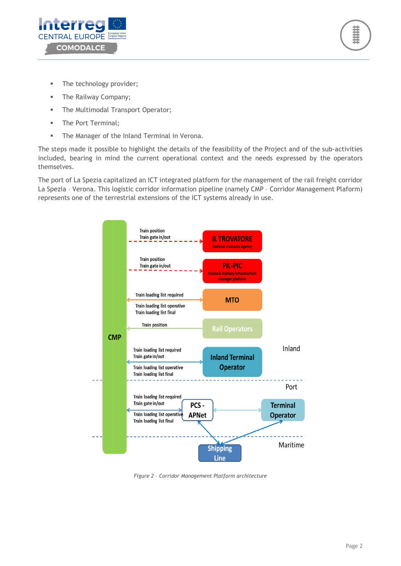



- The technology provider;
- **The Railway Company;**
- **The Multimodal Transport Operator;**
- The Port Terminal;
- **The Manager of the Inland Terminal in Verona.**

The steps made it possible to highlight the details of the feasibility of the Project and of the sub-activities included, bearing in mind the current operational context and the needs expressed by the operators themselves.

The port of La Spezia capitalized an ICT integrated platform for the management of the rail freight corridor La Spezia – Verona. This logistic corridor information pipeline (namely CMP – Corridor Management Plaform) represents one of the terrestrial extensions of the ICT systems already in use.



*Figure 2 – Corridor Management Platform architecture*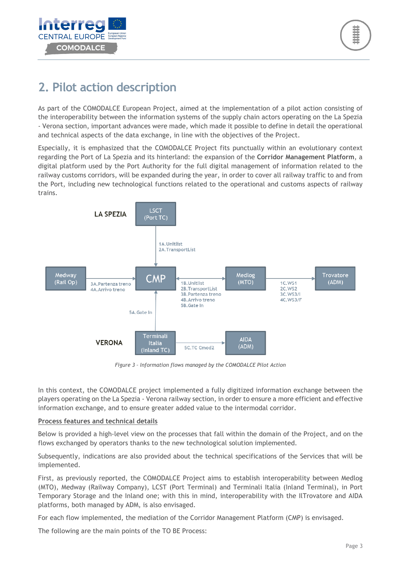

# <span id="page-4-0"></span>**2. Pilot action description**

As part of the COMODALCE European Project, aimed at the implementation of a pilot action consisting of the interoperability between the information systems of the supply chain actors operating on the La Spezia - Verona section, important advances were made, which made it possible to define in detail the operational and technical aspects of the data exchange, in line with the objectives of the Project.

Especially, it is emphasized that the COMODALCE Project fits punctually within an evolutionary context regarding the Port of La Spezia and its hinterland: the expansion of the **Corridor Management Platform**, a digital platform used by the Port Authority for the full digital management of information related to the railway customs corridors, will be expanded during the year, in order to cover all railway traffic to and from the Port, including new technological functions related to the operational and customs aspects of railway trains.



*Figure 3 – Information flows managed by the COMODALCE Pilot Action*

In this context, the COMODALCE project implemented a fully digitized information exchange between the players operating on the La Spezia - Verona railway section, in order to ensure a more efficient and effective information exchange, and to ensure greater added value to the intermodal corridor.

#### **Process features and technical details**

Below is provided a high-level view on the processes that fall within the domain of the Project, and on the flows exchanged by operators thanks to the new technological solution implemented.

Subsequently, indications are also provided about the technical specifications of the Services that will be implemented.

First, as previously reported, the COMODALCE Project aims to establish interoperability between Medlog (MTO), Medway (Railway Company), LCST (Port Terminal) and Terminali Italia (Inland Terminal), in Port Temporary Storage and the Inland one; with this in mind, interoperability with the IlTrovatore and AIDA platforms, both managed by ADM, is also envisaged.

For each flow implemented, the mediation of the Corridor Management Platform (CMP) is envisaged.

The following are the main points of the TO BE Process: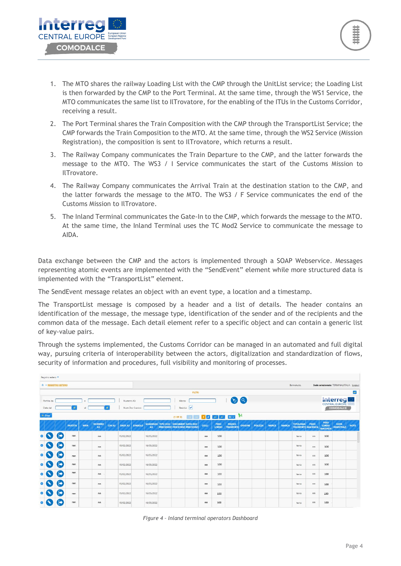

- 1. The MTO shares the railway Loading List with the CMP through the UnitList service; the Loading List is then forwarded by the CMP to the Port Terminal. At the same time, through the WS1 Service, the MTO communicates the same list to IlTrovatore, for the enabling of the ITUs in the Customs Corridor, receiving a result.
- 2. The Port Terminal shares the Train Composition with the CMP through the TransportList Service; the CMP forwards the Train Composition to the MTO. At the same time, through the WS2 Service (Mission Registration), the composition is sent to IlTrovatore, which returns a result.
- 3. The Railway Company communicates the Train Departure to the CMP, and the latter forwards the message to the MTO. The WS3 / I Service communicates the start of the Customs Mission to IlTrovatore.
- 4. The Railway Company communicates the Arrival Train at the destination station to the CMP, and the latter forwards the message to the MTO. The WS3 / F Service communicates the end of the Customs Mission to IlTrovatore.
- 5. The Inland Terminal communicates the Gate-In to the CMP, which forwards the message to the MTO. At the same time, the Inland Terminal uses the TC Mod2 Service to communicate the message to AIDA.

Data exchange between the CMP and the actors is implemented through a SOAP Webservice. Messages representing atomic events are implemented with the "SendEvent" element while more structured data is implemented with the "TransportList" element.

The SendEvent message relates an object with an event type, a location and a timestamp.

The TransportList message is composed by a header and a list of details. The header contains an identification of the message, the message type, identification of the sender and of the recipients and the common data of the message. Each detail element refer to a specific object and can contain a generic list of key-value pairs.

Through the systems implemented, the Customs Corridor can be managed in an automated and full digital way, pursuing criteria of interoperability between the actors, digitalization and standardization of flows, security of information and procedures, full visibility and monitoring of processes.

| <b>A &gt; REGISTRO ESTERO</b> |                       |                |            |                     |               |                |                  |            |                                                                             |                      |       |                             |                           |         |                |              |              | Benvenuto,                                    |       |                                                | Sede selezionata: TERMINALIITALIA Logout |                   |
|-------------------------------|-----------------------|----------------|------------|---------------------|---------------|----------------|------------------|------------|-----------------------------------------------------------------------------|----------------------|-------|-----------------------------|---------------------------|---------|----------------|--------------|--------------|-----------------------------------------------|-------|------------------------------------------------|------------------------------------------|-------------------|
|                               |                       |                |            |                     |               |                |                  |            |                                                                             | <b>FILTRI</b>        |       |                             |                           |         |                |              |              |                                               |       |                                                |                                          | $\qquad \qquad =$ |
| Partita: da                   |                       |                | a          |                     |               | Numero A3:     |                  |            | Marca:                                                                      |                      |       |                             |                           | O a     |                |              |              |                                               |       |                                                | <b>Interreged</b>                        |                   |
| Data dal                      |                       | $\omega$       | al         |                     | $\omega$      |                | Num Doc Scarico: |            |                                                                             | Residui:             |       |                             |                           |         |                |              |              |                                               |       |                                                | COMODALCE                                |                   |
| $+ Crea$                      |                       |                |            |                     |               |                |                  |            | $(1$ OF 2)                                                                  | $\sim$<br><b>COL</b> |       | $1$ $2$ $3$ $3$             | $50 \vee$                 | H       |                |              |              |                                               |       |                                                |                                          |                   |
|                               |                       | <b>PARTITA</b> | <b>MRN</b> | <b>NUMERO</b><br>A3 | <b>CIN A3</b> | <b>DATA A3</b> | <b>SINGOLO</b>   | A3         | <b>SCADENZA TIPO DOC DOCUMENT DATA DOC</b><br>PRECEDENT PRECEDENT PRECEDENT |                      | COLLI | <b>PESO</b><br><b>LORDO</b> | <b>MEZZO</b><br>TRASPORTO | ORIGINE | <b>POLIZZA</b> | <b>MERCE</b> | <b>MARCA</b> | <b>TIPOLOGIA</b><br><b>TRASPORTO GIACENZA</b> | PEZZI | <b>PESO</b><br><b>LORDO</b><br><b>GIACENZA</b> | <b>DATA</b><br><b>REGISTRAZ</b>          | <b>NOTE</b>       |
|                               | $\blacksquare$        | nnn            |            | nn                  |               | 15/02/2022     |                  | 16/05/2022 |                                                                             |                      | nn    | 100                         |                           |         |                |              |              | terra                                         | nn    | 100                                            |                                          |                   |
|                               | (→                    | nnn            |            | nn                  |               | 15/02/2022     |                  | 16/05/2022 |                                                                             |                      | nn    | 100                         |                           |         |                |              |              | terra                                         | nn    | 100                                            |                                          |                   |
|                               | (→                    | nnn            |            | nn                  |               | 15/02/2022     |                  | 16/05/2022 |                                                                             |                      | nn    | 100                         |                           |         |                |              |              | terra                                         | nn    | 100                                            |                                          |                   |
|                               | $\blacktriangleright$ | nnn            |            | nn                  |               | 15/02/2022     |                  | 16/05/2022 |                                                                             |                      | nn    | 100                         |                           |         |                |              |              | terra                                         | nn    | 100                                            |                                          |                   |
|                               | (→                    | nnn            |            | nn                  |               | 15/02/2022     |                  | 16/05/2022 |                                                                             |                      | nn    | 100                         |                           |         |                |              |              | terra                                         | nn    | 100                                            |                                          |                   |
|                               | (+                    | nnn            |            | nn                  |               | 15/02/2022     |                  | 16/05/2022 |                                                                             |                      | nn    | 100                         |                           |         |                |              |              | terra                                         | nn    | 100                                            |                                          |                   |
|                               | [➡                    | nnn            |            | nn                  |               | 15/02/2022     |                  | 16/05/2022 |                                                                             |                      | nn    | 100                         |                           |         |                |              |              | terra                                         | nn    | 100                                            |                                          |                   |
|                               |                       | nnn            |            | nn                  |               | 15/02/2022     |                  | 16/05/2022 |                                                                             |                      | nn    | 100                         |                           |         |                |              |              | terra                                         | nn    | 100                                            |                                          |                   |

*Figure 4 – Inland terminal operators Dashboard*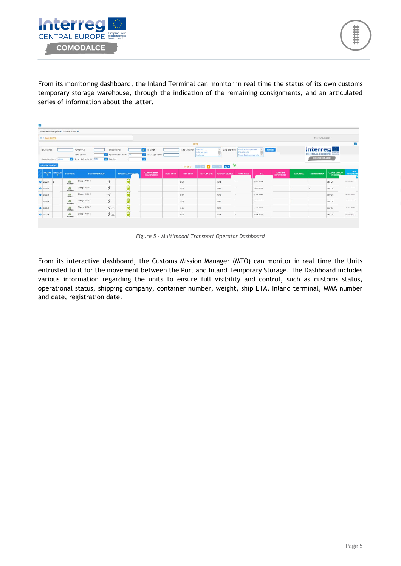

From its monitoring dashboard, the Inland Terminal can monitor in real time the status of its own customs temporary storage warehouse, through the indication of the remaining consignments, and an articulated series of information about the latter.

| 飂                                         |                         |                            |                                                           |                                                           |                              |                                           |                   |                  |                                                                     |                  |                                                                           |            |                                      |                 |                                                |                                          |                                  |
|-------------------------------------------|-------------------------|----------------------------|-----------------------------------------------------------|-----------------------------------------------------------|------------------------------|-------------------------------------------|-------------------|------------------|---------------------------------------------------------------------|------------------|---------------------------------------------------------------------------|------------|--------------------------------------|-----------------|------------------------------------------------|------------------------------------------|----------------------------------|
| Procedure di emergenza - Milos eCustoms - |                         |                            |                                                           |                                                           |                              |                                           |                   |                  |                                                                     |                  |                                                                           |            |                                      |                 |                                                |                                          |                                  |
|                                           | <b>A &gt; DASHEOARD</b> |                            |                                                           |                                                           |                              |                                           |                   |                  |                                                                     |                  |                                                                           |            |                                      |                 | Benvenuto, support                             |                                          |                                  |
|                                           |                         |                            |                                                           |                                                           |                              |                                           |                   | <b>FILTRI</b>    |                                                                     |                  |                                                                           |            |                                      |                 |                                                |                                          | Ξ                                |
| Id Container:<br>Mese riferimento: Marzo  |                         |                            | Numero A3:<br>Porto Sbarco:<br>Anno riferimento: dal 2022 | Emissione A3:<br>Viaming                                  | Quadrimestral inviati<br>No. | Id Uirnet:<br>D Viaggio Treno:<br>$\sim$  |                   | Stato Container: | In Arrivo<br>In TC portuale<br>In viaggio                           | Stato operativo: | Fiusso Arrivi importato<br><b>ETA-ATA PCS</b><br>Flusso Booking importato |            | Refresh                              |                 | <b>Interreg</b><br>CENTRAL EUROPE<br>COMODALCE |                                          |                                  |
| Gestione Garanzia                         |                         |                            |                                                           |                                                           |                              |                                           |                   |                  | giorni del <mark>11</mark> del <mark>11</mark> del 10 del 10 del 10 |                  |                                                                           |            |                                      |                 |                                                |                                          |                                  |
| <b>PRG INT</b><br>۰                       | <b>PRG DOG</b>          | <b>STATO CTR</b>           | <b>STATO OPERATIVO</b>                                    |                                                           | <b>TIPOLOGIA CORRIDOIO</b>   | <b>COMPAGNIA DI</b><br><b>NAVIGAZIONE</b> | <b>SIGLA CNTR</b> | <b>TIPO CNTR</b> | <b>LETTUTA OCR</b>                                                  | PORTO DI SBARCO  | <b>NOME NAVE</b>                                                          | <b>ETA</b> | <b>TERMINAL</b><br><b>INTERMEDIO</b> | <b>DATA MMA</b> | <b>NUMERO MMA</b>                              | <b>CODICE UFFICIO</b><br><b>EMISSION</b> | <b>DATA</b><br><b>REGISTRAZI</b> |
| 2022/1                                    |                         | Gh<br>In TC Finico         | Dialogo AIDA C                                            | $\mathcal{C}$                                             |                              |                                           |                   | 2200             |                                                                     | <b>ITSPE</b>     | $\sim$                                                                    | 19/01/3018 |                                      |                 |                                                | 068100                                   | aunsnoss.                        |
| $0$ 2022/2                                |                         | - 3<br>Gh<br>In TC Finico  | Dialogo AIDA C                                            | $\mathcal{C}$                                             | Q                            |                                           |                   | 2200             |                                                                     | <b>ITSPE</b>     | r.                                                                        | 19/01/2018 |                                      |                 |                                                | 068100                                   | <b>ALIAR GASS</b>                |
| $0$ 2022/3                                |                         | - -<br>dia.<br>In TC Faice | Dialogo AIDA C                                            | $\mathcal{C}% _{M_{1},M_{2}}^{\alpha,\beta}(\varepsilon)$ | Ř                            |                                           |                   | 2200             |                                                                     | ITSPE            |                                                                           | 10/AC/SACE |                                      |                 |                                                | 068100                                   | ALIAS (SASS)                     |
| 2022/4                                    |                         | - 3<br>m<br>In TC Fisico   | Dialogo AIDA C                                            | $\mathcal C$                                              | Q                            |                                           |                   | 2200             |                                                                     | <b>ITSPE</b>     |                                                                           | 10 minutes |                                      |                 |                                                | 068100                                   | ASIAS CASS                       |
| 2022/5                                    |                         | dik<br>In TC Fisico        | Dialogo AIDA C                                            | $\mathcal{O} \triangle$                                   | Q                            |                                           |                   | 2200             |                                                                     | <b>ITSPE</b>     |                                                                           | Ligannon.  |                                      |                 |                                                | 068100                                   | ALCOHOL: NAME                    |
|                                           |                         | $60\,$                     | Dialogo AIDA C                                            | $\mathcal{O} \triangle$                                   | õ                            |                                           |                   | 2200             |                                                                     | <b>ITSPE</b>     |                                                                           | 19/06/2019 |                                      |                 |                                                | 068100                                   | 01/03/2022                       |

*Figure 5 – Multimodal Transport Operator Dashboard*

From its interactive dashboard, the Customs Mission Manager (MTO) can monitor in real time the Units entrusted to it for the movement between the Port and Inland Temporary Storage. The Dashboard includes various information regarding the units to ensure full visibility and control, such as customs status, operational status, shipping company, container number, weight, ship ETA, Inland terminal, MMA number and date, registration date.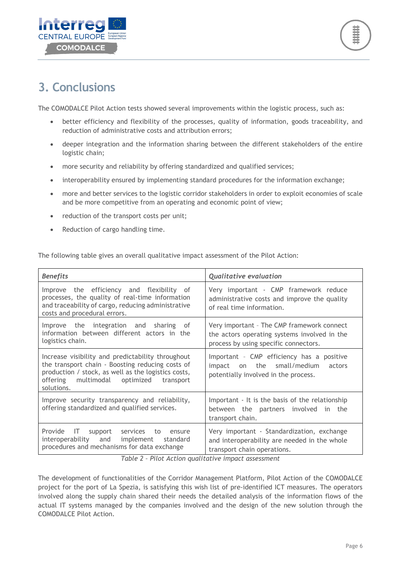



## <span id="page-7-0"></span>**3. Conclusions**

The COMODALCE Pilot Action tests showed several improvements within the logistic process, such as:

- better efficiency and flexibility of the processes, quality of information, goods traceability, and reduction of administrative costs and attribution errors;
- deeper integration and the information sharing between the different stakeholders of the entire logistic chain;
- more security and reliability by offering standardized and qualified services;
- interoperability ensured by implementing standard procedures for the information exchange;
- more and better services to the logistic corridor stakeholders in order to exploit economies of scale and be more competitive from an operating and economic point of view;
- reduction of the transport costs per unit;
- Reduction of cargo handling time.

The following table gives an overall qualitative impact assessment of the Pilot Action:

| <b>Benefits</b>                                                                                                                                                                                                             | <b>Qualitative evaluation</b>                                                                                                       |  |  |  |  |  |  |  |
|-----------------------------------------------------------------------------------------------------------------------------------------------------------------------------------------------------------------------------|-------------------------------------------------------------------------------------------------------------------------------------|--|--|--|--|--|--|--|
| Improve the efficiency and flexibility of<br>processes, the quality of real-time information<br>and traceability of cargo, reducing administrative<br>costs and procedural errors.                                          | Very important - CMP framework reduce<br>administrative costs and improve the quality<br>of real time information.                  |  |  |  |  |  |  |  |
| Improve the integration and sharing of<br>information between different actors in the<br>logistics chain.                                                                                                                   | Very important - The CMP framework connect<br>the actors operating systems involved in the<br>process by using specific connectors. |  |  |  |  |  |  |  |
| Increase visibility and predictability throughout<br>the transport chain - Boosting reducing costs of<br>production / stock, as well as the logistics costs,<br>multimodal optimized<br>offering<br>transport<br>solutions. | Important - CMP efficiency has a positive<br>on the small/medium<br>impact<br>actors<br>potentially involved in the process.        |  |  |  |  |  |  |  |
| Improve security transparency and reliability,<br>offering standardized and qualified services.                                                                                                                             | Important - It is the basis of the relationship<br>between the partners involved in<br>the<br>transport chain.                      |  |  |  |  |  |  |  |
| Provide<br>IT.<br>support services<br>to<br>ensure<br>interoperability and implement standard<br>procedures and mechanisms for data exchange<br>Table 2. Bilat Action qualitative impact assessment                         | Very important - Standardization, exchange<br>and interoperability are needed in the whole<br>transport chain operations.           |  |  |  |  |  |  |  |

*Table 2 – Pilot Action qualitative impact assessment*

The development of functionalities of the Corridor Management Platform, Pilot Action of the COMODALCE project for the port of La Spezia, is satisfying this wish list of pre-identified ICT measures. The operators involved along the supply chain shared their needs the detailed analysis of the information flows of the actual IT systems managed by the companies involved and the design of the new solution through the COMODALCE Pilot Action.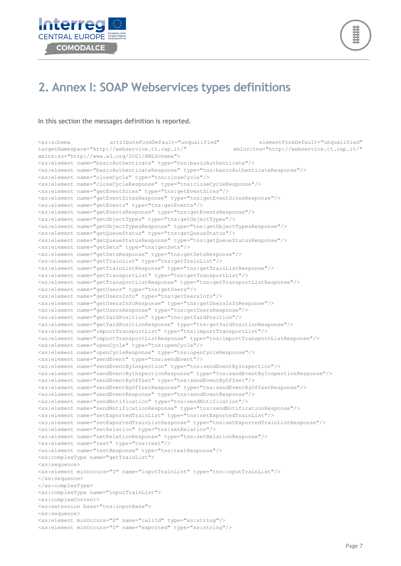



## <span id="page-8-0"></span>**2. Annex I: SOAP Webservices types definitions**

#### In this section the messages definition is reported.

<xs:schema attributeFormDefault="unqualified" elementFormDefault="unqualified" targetNamespace="http://webservice.tt.cap.it/" xmlns:tns="http://webservice.tt.cap.it/" xmlns:xs="http://www.w3.org/2001/XMLSchema"> <xs:element name="basicAuthenticate" type="tns:basicAuthenticate"/> <xs:element name="basicAuthenticateResponse" type="tns:basicAuthenticateResponse"/> <xs:element name="closeCycle" type="tns:closeCycle"/> <xs:element name="closeCycleResponse" type="tns:closeCycleResponse"/> <xs:element name="getEventSites" type="tns:getEventSites"/> <xs:element name="getEventSitesResponse" type="tns:getEventSitesResponse"/> <xs:element name="getEvents" type="tns:getEvents"/> <xs:element name="getEventsResponse" type="tns:getEventsResponse"/> <xs:element name="getObjectTypes" type="tns:getObjectTypes"/> <xs:element name="getObjectTypesResponse" type="tns:getObjectTypesResponse"/> <xs:element name="getQueueStatus" type="tns:getQueueStatus"/> <xs:element name="getQueueStatusResponse" type="tns:getQueueStatusResponse"/> <xs:element name="getSets" type="tns:getSets"/> <xs:element name="getSetsResponse" type="tns:getSetsResponse"/> <xs:element name="getTrainList" type="tns:getTrainList"/> <xs:element name="getTrainListResponse" type="tns:getTrainListResponse"/> <xs:element name="getTransportList" type="tns:getTransportList"/> <xs:element name="getTransportListResponse" type="tns:getTransportListResponse"/> <xs:element name="getUsers" type="tns:getUsers"/> <xs:element name="getUsersInfo" type="tns:getUsersInfo"/> <xs:element name="getUsersInfoResponse" type="tns:getUsersInfoResponse"/> <xs:element name="getUsersResponse" type="tns:getUsersResponse"/> <xs:element name="getYardPosition" type="tns:getYardPosition"/> <xs:element name="getYardPositionResponse" type="tns:getYardPositionResponse"/> <xs:element name="importTransportList" type="tns:importTransportList"/> <xs:element name="importTransportListResponse" type="tns:importTransportListResponse"/> <xs:element name="openCycle" type="tns:openCycle"/> <xs:element name="openCycleResponse" type="tns:openCycleResponse"/> <xs:element name="sendEvent" type="tns:sendEvent"/> <xs:element name="sendEventByInspection" type="tns:sendEventByInspection"/> <xs:element name="sendEventByInspectionResponse" type="tns:sendEventByInspectionResponse"/> <xs:element name="sendEventByOffset" type="tns:sendEventByOffset"/> <xs:element name="sendEventByOffsetResponse" type="tns:sendEventByOffsetResponse"/> <xs:element name="sendEventResponse" type="tns:sendEventResponse"/> <xs:element name="sendNotification" type="tns:sendNotification"/> <xs:element name="sendNotificationResponse" type="tns:sendNotificationResponse"/> <xs:element name="setExportedTrainList" type="tns:setExportedTrainList"/> <xs:element name="setExportedTrainListResponse" type="tns:setExportedTrainListResponse"/> <xs:element name="setRelation" type="tns:setRelation"/> <xs:element name="setRelationResponse" type="tns:setRelationResponse"/> <xs:element name="test" type="tns:test"/> <xs:element name="testResponse" type="tns:testResponse"/> <xs:complexType name="getTrainList"> <xs:sequence> <xs:element minOccurs="0" name="inputTrainList" type="tns:inputTrainList"/> </xs:sequence> </xs:complexType> <xs:complexType name="inputTrainList"> <xs:complexContent> <xs:extension base="tns:inputBase"> <xs:sequence> <xs:element minOccurs="0" name="callId" type="xs:string"/> <xs:element minOccurs="0" name="exported" type="xs:string"/>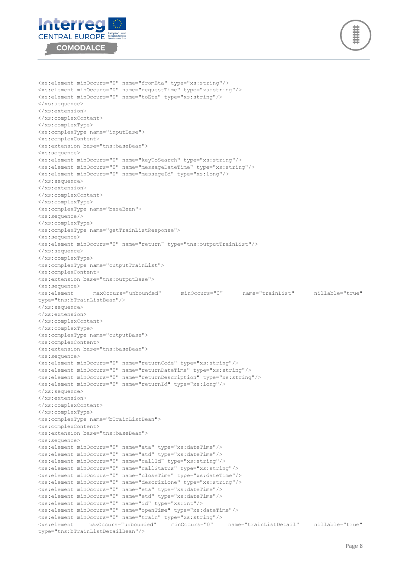```
Interreg
CENTRAL EUROPE
   COMODALCE
```


```
<xs:element minOccurs="0" name="fromEta" type="xs:string"/>
<xs:element minOccurs="0" name="requestTime" type="xs:string"/>
<xs:element minOccurs="0" name="toEta" type="xs:string"/>
</xs:sequence>
</xs:extension>
</xs:complexContent>
</xs:complexType>
<xs:complexType name="inputBase">
<xs:complexContent>
<xs:extension base="tns:baseBean">
<xs:sequence>
<xs:element minOccurs="0" name="keyToSearch" type="xs:string"/>
<xs:element minOccurs="0" name="messageDateTime" type="xs:string"/>
<xs:element minOccurs="0" name="messageId" type="xs:long"/>
</xs:sequence>
</xs:extension>
</xs:complexContent>
</xs:complexType>
<xs:complexType name="baseBean">
<xs:sequence/>
</xs:complexType>
<xs:complexType name="getTrainListResponse">
<xs:sequence>
<xs:element minOccurs="0" name="return" type="tns:outputTrainList"/>
</xs:sequence>
</xs:complexType>
<xs:complexType name="outputTrainList">
<xs:complexContent>
<xs:extension base="tns:outputBase">
<xs:sequence>
<xs:element maxOccurs="unbounded" minOccurs="0" name="trainList" nillable="true" 
type="tns:bTrainListBean"/>
</xs:sequence>
</xs:extension>
</xs:complexContent>
</xs:complexType>
<xs:complexType name="outputBase">
<xs:complexContent>
<xs:extension base="tns:baseBean">
<xs:sequence>
<xs:element minOccurs="0" name="returnCode" type="xs:string"/>
<xs:element minOccurs="0" name="returnDateTime" type="xs:string"/>
<xs:element minOccurs="0" name="returnDescription" type="xs:string"/>
<xs:element minOccurs="0" name="returnId" type="xs:long"/>
</xs:sequence>
</xs:extension>
</xs:complexContent>
</xs:complexType>
<xs:complexType name="bTrainListBean">
<xs:complexContent>
<xs:extension base="tns:baseBean">
<xs:sequence>
<xs:element minOccurs="0" name="ata" type="xs:dateTime"/>
<xs:element minOccurs="0" name="atd" type="xs:dateTime"/>
<xs:element minOccurs="0" name="callId" type="xs:string"/>
<xs:element minOccurs="0" name="callStatus" type="xs:string"/>
<xs:element minOccurs="0" name="closeTime" type="xs:dateTime"/>
<xs:element minOccurs="0" name="descrizione" type="xs:string"/>
<xs:element minOccurs="0" name="eta" type="xs:dateTime"/>
<xs:element minOccurs="0" name="etd" type="xs:dateTime"/>
<xs:element minOccurs="0" name="id" type="xs:int"/>
<xs:element minOccurs="0" name="openTime" type="xs:dateTime"/>
<xs:element minOccurs="0" name="train" type="xs:string"/>
                                                         mame="trainListDetail" nillable="true"
type="tns:bTrainListDetailBean"/>
```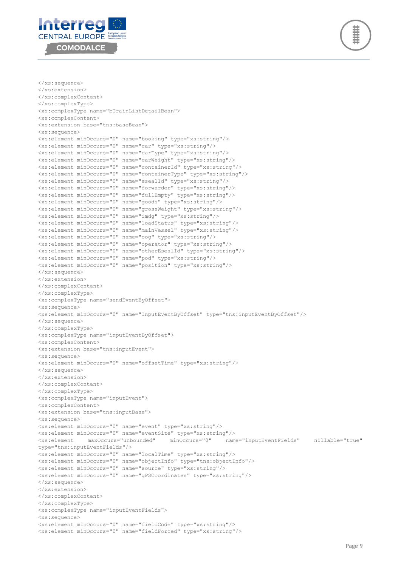



```
</xs:sequence>
</xs:extension>
</xs:complexContent>
</xs:complexType>
<xs:complexType name="bTrainListDetailBean">
<xs:complexContent>
<xs:extension base="tns:baseBean">
<xs:sequence>
<xs:element minOccurs="0" name="booking" type="xs:string"/>
<xs:element minOccurs="0" name="car" type="xs:string"/>
<xs:element minOccurs="0" name="carType" type="xs:string"/>
<xs:element minOccurs="0" name="carWeight" type="xs:string"/>
<xs:element minOccurs="0" name="containerId" type="xs:string"/>
<xs:element minOccurs="0" name="containerType" type="xs:string"/>
<xs:element minOccurs="0" name="esealId" type="xs:string"/>
<xs:element minOccurs="0" name="forwarder" type="xs:string"/>
<xs:element minOccurs="0" name="fullEmpty" type="xs:string"/>
<xs:element minOccurs="0" name="goods" type="xs:string"/>
<xs:element minOccurs="0" name="grossWeight" type="xs:string"/>
<xs:element minOccurs="0" name="imdg" type="xs:string"/>
<xs:element minOccurs="0" name="loadStatus" type="xs:string"/>
<xs:element minOccurs="0" name="mainVessel" type="xs:string"/>
<xs:element minOccurs="0" name="oog" type="xs:string"/>
<xs:element minOccurs="0" name="operator" type="xs:string"/>
<xs:element minOccurs="0" name="otherEsealId" type="xs:string"/>
<xs:element minOccurs="0" name="pod" type="xs:string"/>
<xs:element minOccurs="0" name="position" type="xs:string"/>
</xs:sequence>
</xs:extension>
</xs:complexContent>
</xs:complexType>
<xs:complexType name="sendEventByOffset">
<xs:sequence>
<xs:element minOccurs="0" name="InputEventByOffset" type="tns:inputEventByOffset"/>
</xs:sequence>
</xs:complexType>
<xs:complexType name="inputEventByOffset">
<xs:complexContent>
<xs:extension base="tns:inputEvent">
<xs:sequence>
<xs:element minOccurs="0" name="offsetTime" type="xs:string"/>
</xs:sequence>
</xs:extension>
</xs:complexContent>
</xs:complexType>
<xs:complexType name="inputEvent">
<xs:complexContent>
<xs:extension base="tns:inputBase">
<xs:sequence>
<xs:element minOccurs="0" name="event" type="xs:string"/>
<xs:element minOccurs="0" name="eventSite" type="xs:string"/>
                                      minOccurs="0" name="inputEventFields" nillable="true"
type="tns:inputEventFields"/>
<xs:element minOccurs="0" name="localTime" type="xs:string"/>
<xs:element minOccurs="0" name="objectInfo" type="tns:objectInfo"/>
<xs:element minOccurs="0" name="source" type="xs:string"/>
<xs:element minOccurs="0" name="gPSCoordinates" type="xs:string"/>
</xs:sequence>
</xs:extension>
</xs:complexContent>
</xs:complexType>
<xs:complexType name="inputEventFields">
<xs:sequence>
<xs:element minOccurs="0" name="fieldCode" type="xs:string"/>
<xs:element minOccurs="0" name="fieldForced" type="xs:string"/>
```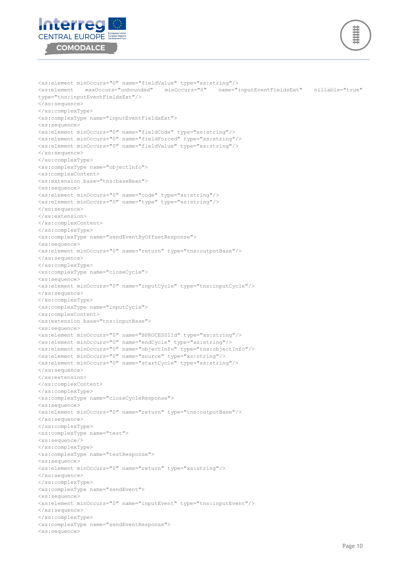

```
<xs:complexType name="inputEventFieldsExt">
<xs:sequence>
<xs:element minOccurs="0" name="fieldCode" type="xs:string"/>
<xs:element minOccurs="0" name="fieldForced" type="xs:string"/>
<xs:element minOccurs="0" name="fieldValue" type="xs:string"/>
</xs:sequence>
</xs:complexType>
<xs:complexType name="objectInfo">
<xs:complexContent>
<xs:extension base="tns:baseBean">
<xs:sequence>
<xs:element minOccurs="0" name="code" type="xs:string"/>
<xs:element minOccurs="0" name="type" type="xs:string"/>
</xs:sequence>
</xs:extension>
</xs:complexContent>
</xs:complexType>
<xs:complexType name="sendEventByOffsetResponse">
<xs:sequence>
<xs:element minOccurs="0" name="return" type="tns:outputBase"/>
</xs:sequence>
</xs:complexType>
<xs:complexType name="closeCycle">
<xs:sequence>
<xs:element minOccurs="0" name="inputCycle" type="tns:inputCycle"/>
</xs:sequence>
</xs:complexType>
<xs:complexType name="inputCycle">
<xs:complexContent>
<xs:extension base="tns:inputBase">
<xs:sequence>
<xs:element minOccurs="0" name="BPROCESSIId" type="xs:string"/>
<xs:element minOccurs="0" name="endCycle" type="xs:string"/>
<xs:element minOccurs="0" name="objectInfo" type="tns:objectInfo"/>
<xs:element minOccurs="0" name="source" type="xs:string"/>
<xs:element minOccurs="0" name="startCycle" type="xs:string"/>
</xs:sequence>
</xs:extension>
</xs:complexContent>
</xs:complexType>
<xs:complexType name="closeCycleResponse">
<xs:sequence>
<xs:element minOccurs="0" name="return" type="tns:outputBase"/>
</xs:sequence>
</xs:complexType>
<xs:complexType name="test">
<xs:sequence/>
</xs:complexType>
<xs:complexType name="testResponse">
<xs:sequence>
<xs:element minOccurs="0" name="return" type="xs:string"/>
</xs:sequence>
</xs:complexType>
<xs:complexType name="sendEvent">
<xs:sequence>
<xs:element minOccurs="0" name="inputEvent" type="tns:inputEvent"/>
</xs:sequence>
</xs:complexType>
<xs:complexType name="sendEventResponse">
<xs:sequence>
```
<xs:element minOccurs="0" name="fieldValue" type="xs:string"/>

<xs:element maxOccurs="unbounded" minOccurs="0" name="inputEventFieldsExt" nillable="true"



type="tns:inputEventFieldsExt"/>

</xs:sequence> </xs:complexType>

$$
\left(\begin{matrix} \begin{matrix} \frac{1}{2} \\ \frac{1}{2} \end{matrix} \\ \frac{1}{2} \end{matrix} \right)
$$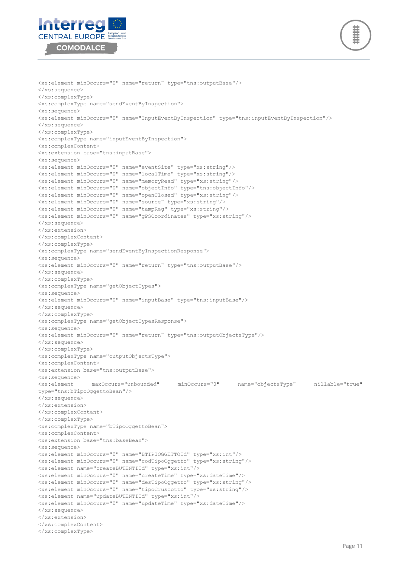



```
<xs:element minOccurs="0" name="return" type="tns:outputBase"/>
</xs:sequence>
</xs:complexType>
<xs:complexType name="sendEventByInspection">
<xs:sequence>
<xs:element minOccurs="0" name="InputEventByInspection" type="tns:inputEventByInspection"/>
</xs:sequence>
</xs:complexType>
<xs:complexType name="inputEventByInspection">
<xs:complexContent>
<xs:extension base="tns:inputBase">
<xs:sequence>
<xs:element minOccurs="0" name="eventSite" type="xs:string"/>
<xs:element minOccurs="0" name="localTime" type="xs:string"/>
<xs:element minOccurs="0" name="memoryRead" type="xs:string"/>
<xs:element minOccurs="0" name="objectInfo" type="tns:objectInfo"/>
<xs:element minOccurs="0" name="openClosed" type="xs:string"/>
<xs:element minOccurs="0" name="source" type="xs:string"/>
<xs:element minOccurs="0" name="tampReg" type="xs:string"/>
<xs:element minOccurs="0" name="gPSCoordinates" type="xs:string"/>
</xs:sequence>
</xs:extension>
</xs:complexContent>
</xs:complexType>
<xs:complexType name="sendEventByInspectionResponse">
<xs:sequence>
<xs:element minOccurs="0" name="return" type="tns:outputBase"/>
</xs:sequence>
</xs:complexType>
<xs:complexType name="getObjectTypes">
<xs:sequence>
<xs:element minOccurs="0" name="inputBase" type="tns:inputBase"/>
</xs:sequence>
</xs:complexType>
<xs:complexType name="getObjectTypesResponse">
<xs:sequence>
<xs:element minOccurs="0" name="return" type="tns:outputObjectsType"/>
</xs:sequence>
</xs:complexType>
<xs:complexType name="outputObjectsType">
<xs:complexContent>
<xs:extension base="tns:outputBase">
<xs:sequence>
<xs:element maxOccurs="unbounded" minOccurs="0" name="objectsType" nillable="true" 
type="tns:bTipoOggettoBean"/>
</xs:sequence>
</xs:extension>
</xs:complexContent>
</xs:complexType>
<xs:complexType name="bTipoOggettoBean">
<xs:complexContent>
<xs:extension base="tns:baseBean">
<xs:sequence>
<xs:element minOccurs="0" name="BTIPIOGGETTOId" type="xs:int"/>
<xs:element minOccurs="0" name="codTipoOggetto" type="xs:string"/>
<xs:element name="createBUTENTIId" type="xs:int"/>
<xs:element minOccurs="0" name="createTime" type="xs:dateTime"/>
<xs:element minOccurs="0" name="desTipoOggetto" type="xs:string"/>
<xs:element minOccurs="0" name="tipoCruscotto" type="xs:string"/>
<xs:element name="updateBUTENTIId" type="xs:int"/>
<xs:element minOccurs="0" name="updateTime" type="xs:dateTime"/>
</xs:sequence>
</xs:extension>
</xs:complexContent>
</xs:complexType>
```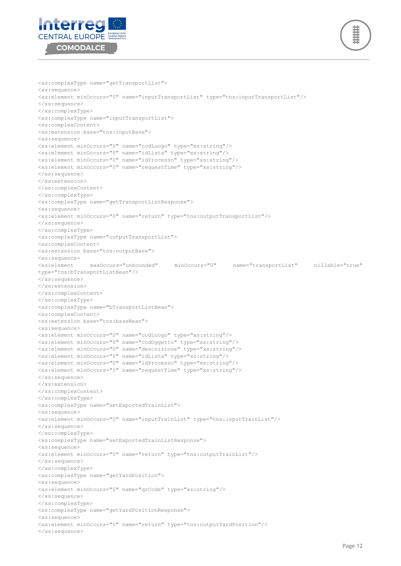



```
<xs:complexType name="getTransportList">
<xs:sequence>
<xs:element minOccurs="0" name="inputTransportList" type="tns:inputTransportList"/>
</xs:sequence>
</xs:complexType>
<xs:complexType name="inputTransportList">
<xs:complexContent>
<xs:extension base="tns:inputBase">
<xs:sequence>
<xs:element minOccurs="0" name="codLuogo" type="xs:string"/>
<xs:element minOccurs="0" name="idLista" type="xs:string"/>
<xs:element minOccurs="0" name="idProcesso" type="xs:string"/>
<xs:element minOccurs="0" name="requestTime" type="xs:string"/>
</xs:sequence>
</xs:extension>
</xs:complexContent>
</xs:complexType>
<xs:complexType name="getTransportListResponse">
<xs:sequence>
<xs:element minOccurs="0" name="return" type="tns:outputTransportList"/>
</xs:sequence>
</xs:complexType>
<xs:complexType name="outputTransportList">
<xs:complexContent>
<xs:extension base="tns:outputBase">
<xs:sequence>
<xs:element maxOccurs="unbounded" minOccurs="0" name="transportList" nillable="true" 
type="tns:bTransportListBean"/>
</xs:sequence>
</xs:extension>
</xs:complexContent>
</xs:complexType>
<xs:complexType name="bTransportListBean">
<xs:complexContent>
<xs:extension base="tns:baseBean">
<xs:sequence>
<xs:element minOccurs="0" name="codLuogo" type="xs:string"/>
<xs:element minOccurs="0" name="codOggetto" type="xs:string"/>
<xs:element minOccurs="0" name="descrizione" type="xs:string"/>
<xs:element minOccurs="0" name="idLista" type="xs:string"/>
<xs:element minOccurs="0" name="idProcesso" type="xs:string"/>
<xs:element minOccurs="0" name="requestTime" type="xs:string"/>
</xs:sequence>
</xs:extension>
</xs:complexContent>
</xs:complexType>
<xs:complexType name="setExportedTrainList">
<xs:sequence>
<xs:element minOccurs="0" name="inputTrainList" type="tns:inputTrainList"/>
</xs:sequence>
</xs:complexType>
<xs:complexType name="setExportedTrainListResponse">
<xs:sequence>
<xs:element minOccurs="0" name="return" type="tns:outputTrainList"/>
</xs:sequence>
</xs:complexType>
<xs:complexType name="getYardPosition">
<xs:sequence>
<xs:element minOccurs="0" name="qrCode" type="xs:string"/>
</xs:sequence>
</xs:complexType>
<xs:complexType name="getYardPositionResponse">
<xs:sequence>
<xs:element minOccurs="0" name="return" type="tns:outputYardPosition"/>
</xs:sequence>
```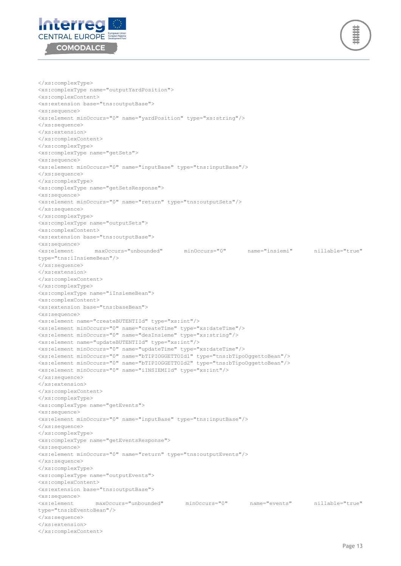



</xs:complexType> <xs:complexType name="outputYardPosition"> <xs:complexContent> <xs:extension base="tns:outputBase"> <xs:sequence> <xs:element minOccurs="0" name="yardPosition" type="xs:string"/> </xs:sequence> </xs:extension> </xs:complexContent> </xs:complexType> <xs:complexType name="getSets"> <xs:sequence> <xs:element minOccurs="0" name="inputBase" type="tns:inputBase"/> </xs:sequence> </xs:complexType> <xs:complexType name="getSetsResponse"> <xs:sequence> <xs:element minOccurs="0" name="return" type="tns:outputSets"/> </xs:sequence> </xs:complexType> <xs:complexType name="outputSets"> <xs:complexContent> <xs:extension base="tns:outputBase"> <xs:sequence> <xs:element maxOccurs="unbounded" minOccurs="0" name="insiemi" nillable="true" type="tns:iInsiemeBean"/> </xs:sequence> </xs:extension> </xs:complexContent> </xs:complexType> <xs:complexType name="iInsiemeBean"> <xs:complexContent> <xs:extension base="tns:baseBean"> <xs:sequence> <xs:element name="createBUTENTIId" type="xs:int"/> <xs:element minOccurs="0" name="createTime" type="xs:dateTime"/> <xs:element minOccurs="0" name="desInsieme" type="xs:string"/> <xs:element name="updateBUTENTIId" type="xs:int"/> <xs:element minOccurs="0" name="updateTime" type="xs:dateTime"/> <xs:element minOccurs="0" name="bTIPIOGGETTOId1" type="tns:bTipoOggettoBean"/> <xs:element minOccurs="0" name="bTIPIOGGETTOId2" type="tns:bTipoOggettoBean"/> <xs:element minOccurs="0" name="iINSIEMIId" type="xs:int"/> </xs:sequence> </xs:extension> </xs:complexContent> </xs:complexType> <xs:complexType name="getEvents"> <xs:sequence> <xs:element minOccurs="0" name="inputBase" type="tns:inputBase"/> </xs:sequence> </xs:complexType> <xs:complexType name="getEventsResponse"> <xs:sequence> <xs:element minOccurs="0" name="return" type="tns:outputEvents"/> </xs:sequence> </xs:complexType> <xs:complexType name="outputEvents"> <xs:complexContent> <xs:extension base="tns:outputBase"> <xs:sequence> maxOccurs="unbounded" minOccurs="0" name="events" nillable="true" type="tns:bEventoBean"/> </xs:sequence> </xs:extension> </xs:complexContent>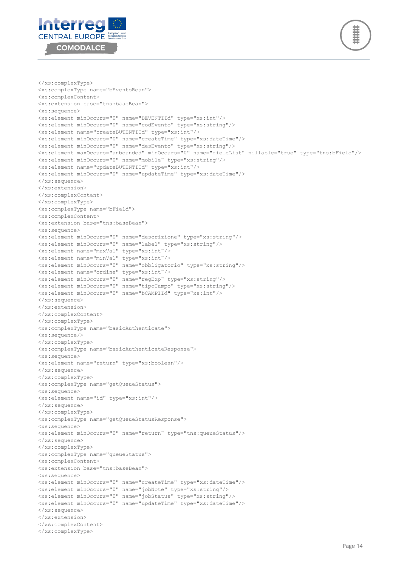



```
</xs:complexType>
<xs:complexType name="bEventoBean">
<xs:complexContent>
<xs:extension base="tns:baseBean">
<xs:sequence>
<xs:element minOccurs="0" name="BEVENTIId" type="xs:int"/>
<xs:element minOccurs="0" name="codEvento" type="xs:string"/>
<xs:element name="createBUTENTIId" type="xs:int"/>
<xs:element minOccurs="0" name="createTime" type="xs:dateTime"/>
<xs:element minOccurs="0" name="desEvento" type="xs:string"/>
<xs:element maxOccurs="unbounded" minOccurs="0" name="fieldList" nillable="true" type="tns:bField"/>
<xs:element minOccurs="0" name="mobile" type="xs:string"/>
<xs:element name="updateBUTENTIId" type="xs:int"/>
<xs:element minOccurs="0" name="updateTime" type="xs:dateTime"/>
</xs:sequence>
</xs:extension>
</xs:complexContent>
</xs:complexType>
<xs:complexType name="bField">
<xs:complexContent>
<xs:extension base="tns:baseBean">
<xs:sequence>
<xs:element minOccurs="0" name="descrizione" type="xs:string"/>
<xs:element minOccurs="0" name="label" type="xs:string"/>
<xs:element name="maxVal" type="xs:int"/>
<xs:element name="minVal" type="xs:int"/>
<xs:element minOccurs="0" name="obbligatorio" type="xs:string"/>
<xs:element name="ordine" type="xs:int"/>
<xs:element minOccurs="0" name="regExp" type="xs:string"/>
<xs:element minOccurs="0" name="tipoCampo" type="xs:string"/>
<xs:element minOccurs="0" name="bCAMPIId" type="xs:int"/>
</xs:sequence>
</xs:extension>
</xs:complexContent>
</xs:complexType>
<xs:complexType name="basicAuthenticate">
<xs:sequence/>
</xs:complexType>
<xs:complexType name="basicAuthenticateResponse">
<xs:sequence>
<xs:element name="return" type="xs:boolean"/>
</xs:sequence>
</xs:complexType>
<xs:complexType name="getQueueStatus">
<xs:sequence>
<xs:element name="id" type="xs:int"/>
</xs:sequence>
</xs:complexType>
<xs:complexType name="getQueueStatusResponse">
<xs:sequence>
<xs:element minOccurs="0" name="return" type="tns:queueStatus"/>
</xs:sequence>
</xs:complexType>
<xs:complexType name="queueStatus">
<xs:complexContent>
<xs:extension base="tns:baseBean">
<xs:sequence>
<xs:element minOccurs="0" name="createTime" type="xs:dateTime"/>
<xs:element minOccurs="0" name="jobNote" type="xs:string"/>
<xs:element minOccurs="0" name="jobStatus" type="xs:string"/>
<xs:element minOccurs="0" name="updateTime" type="xs:dateTime"/>
</xs:sequence>
</xs:extension>
</xs:complexContent>
</xs:complexType>
```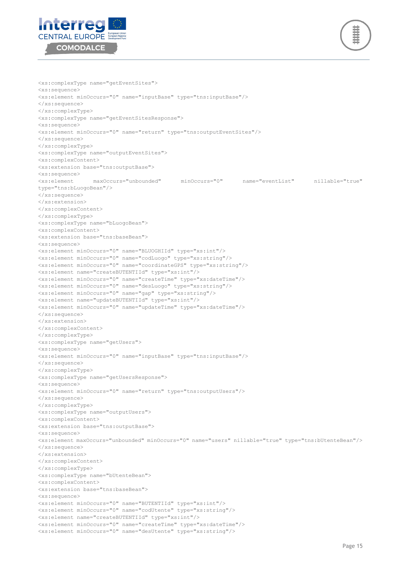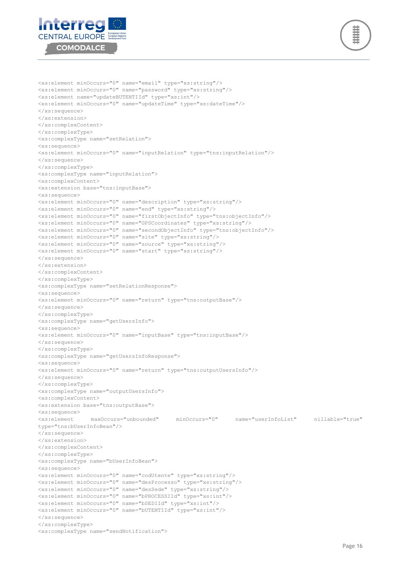



<xs:element minOccurs="0" name="email" type="xs:string"/> <xs:element minOccurs="0" name="password" type="xs:string"/> <xs:element name="updateBUTENTIId" type="xs:int"/> <xs:element minOccurs="0" name="updateTime" type="xs:dateTime"/> </xs:sequence> </xs:extension> </xs:complexContent> </xs:complexType> <xs:complexType name="setRelation"> <xs:sequence> <xs:element minOccurs="0" name="inputRelation" type="tns:inputRelation"/> </xs:sequence> </xs:complexType> <xs:complexType name="inputRelation"> <xs:complexContent> <xs:extension base="tns:inputBase"> <xs:sequence> <xs:element minOccurs="0" name="description" type="xs:string"/> <xs:element minOccurs="0" name="end" type="xs:string"/> <xs:element minOccurs="0" name="firstObjectInfo" type="tns:objectInfo"/> <xs:element minOccurs="0" name="GPSCoordinates" type="xs:string"/> <xs:element minOccurs="0" name="secondObjectInfo" type="tns:objectInfo"/> <xs:element minOccurs="0" name="site" type="xs:string"/> <xs:element minOccurs="0" name="source" type="xs:string"/> <xs:element minOccurs="0" name="start" type="xs:string"/> </xs:sequence> </xs:extension> </xs:complexContent> </xs:complexType> <xs:complexType name="setRelationResponse"> <xs:sequence> <xs:element minOccurs="0" name="return" type="tns:outputBase"/> </xs:sequence> </xs:complexType> <xs:complexType name="getUsersInfo"> <xs:sequence> <xs:element minOccurs="0" name="inputBase" type="tns:inputBase"/> </xs:sequence> </xs:complexType> <xs:complexType name="getUsersInfoResponse"> <xs:sequence> <xs:element minOccurs="0" name="return" type="tns:outputUsersInfo"/> </xs:sequence> </xs:complexType> <xs:complexType name="outputUsersInfo"> <xs:complexContent> <xs:extension base="tns:outputBase"> <xs:sequence> maxOccurs="unbounded" minOccurs="0" name="userInfoList" nillable="true" type="tns:bUserInfoBean"/> </xs:sequence> </xs:extension> </xs:complexContent> </xs:complexType> <xs:complexType name="bUserInfoBean"> <xs:sequence> <xs:element minOccurs="0" name="codUtente" type="xs:string"/> <xs:element minOccurs="0" name="desProcesso" type="xs:string"/> <xs:element minOccurs="0" name="desSede" type="xs:string"/> <xs:element minOccurs="0" name="bPROCESSIId" type="xs:int"/> <xs:element minOccurs="0" name="bSEDIId" type="xs:int"/> <xs:element minOccurs="0" name="bUTENTIId" type="xs:int"/> </xs:sequence> </xs:complexType> <xs:complexType name="sendNotification">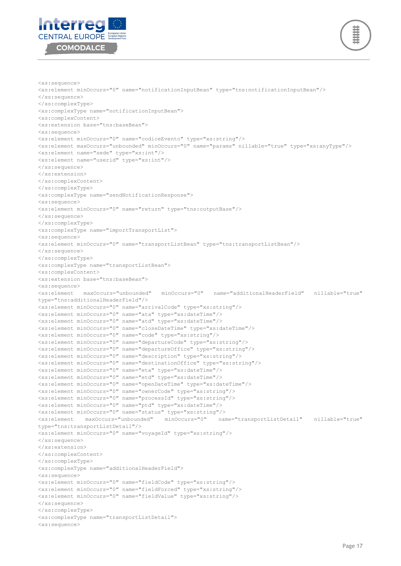



```
<xs:sequence>
<xs:element minOccurs="0" name="notificationInputBean" type="tns:notificationInputBean"/>
</xs:sequence>
</xs:complexType>
<xs:complexType name="notificationInputBean">
<xs:complexContent>
<xs:extension base="tns:baseBean">
<xs:sequence>
<xs:element minOccurs="0" name="codiceEvento" type="xs:string"/>
<xs:element maxOccurs="unbounded" minOccurs="0" name="params" nillable="true" type="xs:anyType"/>
<xs:element name="sede" type="xs:int"/>
<xs:element name="userid" type="xs:int"/>
</xs:sequence>
</xs:extension>
</xs:complexContent>
</xs:complexType>
<xs:complexType name="sendNotificationResponse">
<xs:sequence>
<xs:element minOccurs="0" name="return" type="tns:outputBase"/>
</xs:sequence>
</xs:complexType>
<xs:complexType name="importTransportList">
<xs:sequence>
<xs:element minOccurs="0" name="transportListBean" type="tns:transportListBean"/>
</xs:sequence>
</xs:complexType>
<xs:complexType name="transportListBean">
<xs:complexContent>
<xs:extension base="tns:baseBean">
<xs:sequence><br><xs:element maxOccurs="unbounded"
                                      minOccurs="0" name="additionalHeaderField" nillable="true"
type="tns:additionalHeaderField"/>
<xs:element minOccurs="0" name="arrivalCode" type="xs:string"/>
<xs:element minOccurs="0" name="ata" type="xs:dateTime"/>
<xs:element minOccurs="0" name="atd" type="xs:dateTime"/>
<xs:element minOccurs="0" name="closeDateTime" type="xs:dateTime"/>
<xs:element minOccurs="0" name="code" type="xs:string"/>
<xs:element minOccurs="0" name="departureCode" type="xs:string"/>
<xs:element minOccurs="0" name="departureOffice" type="xs:string"/>
<xs:element minOccurs="0" name="description" type="xs:string"/>
<xs:element minOccurs="0" name="destinationOffice" type="xs:string"/>
<xs:element minOccurs="0" name="eta" type="xs:dateTime"/>
<xs:element minOccurs="0" name="etd" type="xs:dateTime"/>
<xs:element minOccurs="0" name="openDateTime" type="xs:dateTime"/>
<xs:element minOccurs="0" name="ownerCode" type="xs:string"/>
<xs:element minOccurs="0" name="processId" type="xs:string"/>
<xs:element minOccurs="0" name="ptd" type="xs:dateTime"/>
<xs:element minOccurs="0" name="status" type="xs:string"/>
                                      minOccurs="0" name="transportListDetail" nillable="true"
type="tns:transportListDetail"/>
<xs:element minOccurs="0" name="voyageId" type="xs:string"/>
</xs:sequence>
</xs:extension>
</xs:complexContent>
</xs:complexType>
<xs:complexType name="additionalHeaderField">
<xs:sequence>
<xs:element minOccurs="0" name="fieldCode" type="xs:string"/>
<xs:element minOccurs="0" name="fieldForced" type="xs:string"/>
<xs:element minOccurs="0" name="fieldValue" type="xs:string"/>
</xs:sequence>
</xs:complexType>
<xs:complexType name="transportListDetail">
<xs:sequence>
```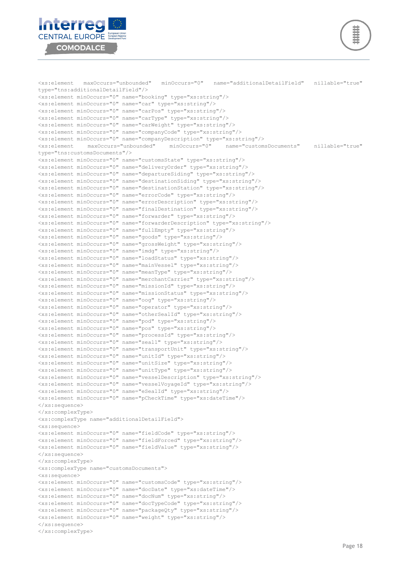

**Interreg CENTRAL EUROPE COMODALCE** 

Page 18